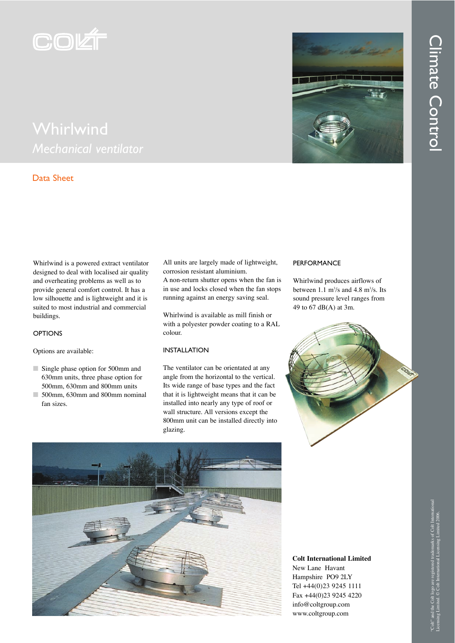

## Data Sheet

Whirlwind is a powered extract ventilator designed to deal with localised air quality and overheating problems as well as to provide general comfort control. It has a low silhouette and is lightweight and it is suited to most industrial and commercial buildings.

**OPTIONS** 

Options are available:

- Single phase option for 500mm and 630mm units, three phase option for 500mm, 630mm and 800mm units
- 500mm, 630mm and 800mm nominal fan sizes.

All units are largely made of lightweight, corrosion resistant aluminium.

A non-return shutter opens when the fan is in use and locks closed when the fan stops running against an energy saving seal.

Whirlwind is available as mill finish or with a polyester powder coating to a RAL colour.

## INSTALLATION

The ventilator can be orientated at any angle from the horizontal to the vertical. Its wide range of base types and the fact that it is lightweight means that it can be installed into nearly any type of roof or wall structure. All versions except the 800mm unit can be installed directly into glazing.

## **PERFORMANCE**

Whirlwind produces airflows of between  $1.1 \text{ m}^3/\text{s}$  and  $4.8 \text{ m}^3/\text{s}$ . Its sound pressure level ranges from 49 to 67 dB(A) at 3m.





**Colt International Limited** New Lane Havant Hampshire PO9 2LY Tel +44(0)23 9245 1111 Fax +44(0)23 9245 4220 info@coltgroup.com www.coltgroup.com